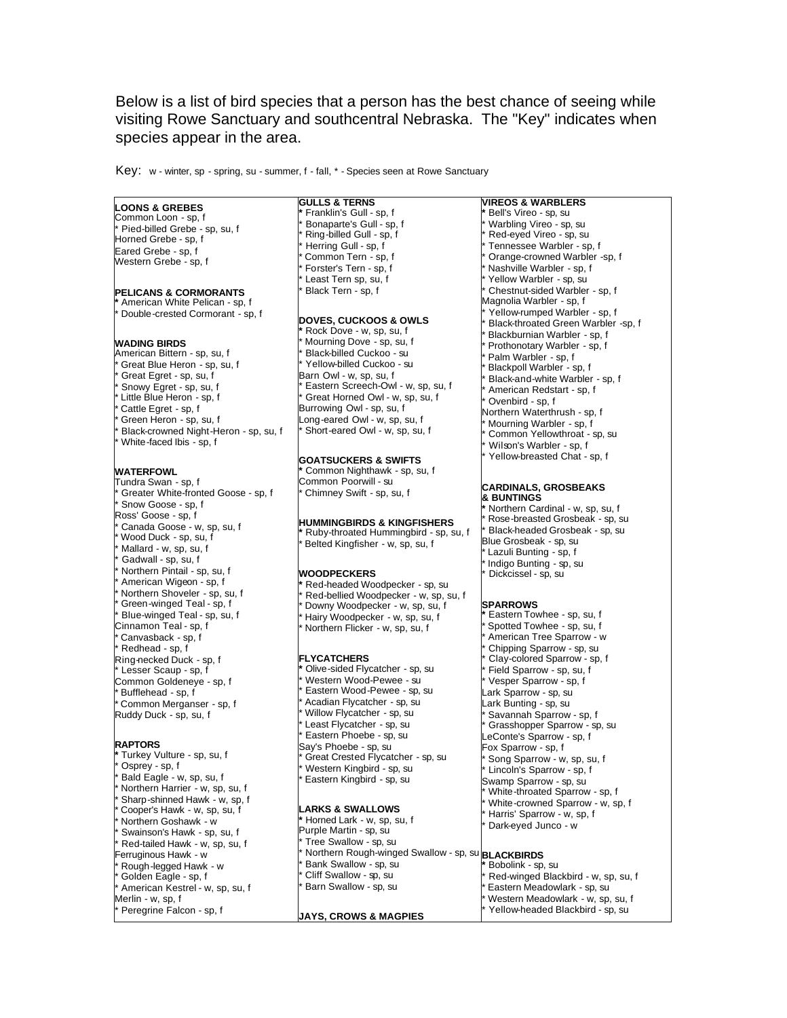Below is a list of bird species that a person has the best chance of seeing while visiting Rowe Sanctuary and southcentral Nebraska. The "Key" indicates when species appear in the area.

Key: w - winter, sp - spring, su - summer, f - fall, \* - Species seen at Rowe Sanctuary

# **LOONS & GREBES**

Common Loon - sp, f Pied-billed Grebe - sp, su, f Horned Grebe - sp, f Eared Grebe - sp, f Western Grebe - sp, f

#### **PELICANS & CORMORANTS**

**\*** American White Pelican - sp, f Double-crested Cormorant - sp, f

#### **WADING BIRDS**

- American Bittern sp, su, f
- Great Blue Heron sp, su, f
- Great Egret sp, su, f
- Snowy Egret sp, su, f
- Little Blue Heron sp, f
- Cattle Egret sp, f
- Green Heron sp, su, f
- Black-crowned Night-Heron sp, su, f
- White-faced Ibis sp, f

### **WATERFOWL**

Tundra Swan - sp, f Greater White-fronted Goose - sp, f Snow Goose - sp, f Ross' Goose - sp, f Canada Goose - w, sp, su, f Wood Duck - sp, su, f Mallard - w, sp, su, f Gadwall - sp, su, f Northern Pintail - sp, su, f American Wigeon - sp, f Northern Shoveler - sp, su, f Green-winged Teal - sp, f Blue-winged Teal - sp, su, f Cinnamon Teal - sp, f Canvasback - sp, f  $Redhead - sp, f$ Ring-necked Duck - sp, f Lesser Scaup - sp, f Common Goldeneye - sp, f Bufflehead - sp, f Common Merganser - sp, f Ruddy Duck - sp, su, f

#### **RAPTORS**

Turkey Vulture - sp, su, f Osprey - sp, f Bald Eagle - w, sp, su, f Northern Harrier - w, sp, su, f Sharp-shinned Hawk - w, sp, f Cooper's Hawk - w, sp, su, f Northern Goshawk - w Swainson's Hawk - sp, su, f Red-tailed Hawk - w, sp, su, f erruginous Hawk - w Rough-legged Hawk - w Golden Eagle - sp, f American Kestrel - w, sp, su, f Merlin - w, sp, f Peregrine Falcon - sp, f

**GULLS & TERNS \*** Franklin's Gull - sp, f Bonaparte's Gull - sp, f Ring-billed Gull - sp, f Herring Gull - sp, f Common Tern - sp, f Forster's Tern - sp, f Least Tern sp, su, f Black Tern - sp, f **DOVES, CUCKOOS & OWLS \*** Rock Dove - w, sp, su, f Mourning Dove - sp, su, f Black-billed Cuckoo - su Yellow-billed Cuckoo - su Barn Owl - w, sp, su, f Eastern Screech-Owl - w, sp, su, f Great Horned Owl - w, sp, su, f Burrowing Owl - sp, su, f

Long-eared Owl - w, sp, su, f Short-eared Owl - w, sp, su, f

# **GOATSUCKERS & SWIFTS**

**\*** Common Nighthawk - sp, su, f Common Poorwill - su Chimney Swift - sp, su, f

# **HUMMINGBIRDS & KINGFISHERS**

**\*** Ruby-throated Hummingbird - sp, su, f Belted Kingfisher - w, sp, su, f

## **WOODPECKERS**

**\*** Red-headed Woodpecker - sp, su Red-bellied Woodpecker - w, sp, su, f Downy Woodpecker - w, sp, su, f Hairy Woodpecker - w, sp, su, f Northern Flicker - w, sp, su, f

#### **FLYCATCHERS**

**Olive-sided Flycatcher - sp, su** Western Wood-Pewee - su Eastern Wood-Pewee - sp, su Acadian Flycatcher - sp, su Willow Flycatcher - sp, su Least Flycatcher - sp, su Eastern Phoebe - sp, su Say's Phoebe - sp, su Great Crested Flycatcher - sp, su Western Kingbird - sp, su Eastern Kingbird - sp, su

#### **LARKS & SWALLOWS**

**\*** Horned Lark - w, sp, su, f Purple Martin - sp, su Tree Swallow - sp, su \* Northern Rough-winged Swallow - sp, su **BLACKBIRDS** Bank Swallow - sp, su Cliff Swallow - sp, su Barn Swallow - sp, su

#### **JAYS, CROWS & MAGPIES**

**VIREOS & WARBLERS** Bell's Vireo - sp, su Warbling Vireo - sp, su Red-eyed Vireo - sp, su Tennessee Warbler - sp, f Orange-crowned Warbler -sp, f Nashville Warbler - sp, f Yellow Warbler - sp, su Chestnut-sided Warbler - sp, f Magnolia Warbler - sp, f Yellow-rumped Warbler - sp, f Black-throated Green Warbler -sp, f Blackburnian Warbler - sp, f Prothonotary Warbler - sp, f Palm Warbler - sp, f Blackpoll Warbler - sp, f Black-and-white Warbler - sp, f American Redstart - sp, f Ovenbird - sp, f Northern Waterthrush - sp, f Mourning Warbler - sp, f Common Yellowthroat - sp, su Wilson's Warbler - sp, f Yellow-breasted Chat - sp, f

#### **CARDINALS, GROSBEAKS & BUNTINGS**

Northern Cardinal - w, sp, su, f Rose-breasted Grosbeak - sp, su Black-headed Grosbeak - sp, su Blue Grosbeak - sp, su Lazuli Bunting - sp, f Indigo Bunting - sp, su Dickcissel - sp, su

#### **SPARROWS**

**\*** Eastern Towhee - sp, su, f Spotted Towhee - sp, su, f American Tree Sparrow - w Chipping Sparrow - sp, su Clay-colored Sparrow - sp, f Field Sparrow - sp, su, f Vesper Sparrow - sp, f Lark Sparrow - sp, su Lark Bunting - sp, su Savannah Sparrow - sp, f Grasshopper Sparrow - sp, su LeConte's Sparrow - sp, f Fox Sparrow - sp, f Song Sparrow - w, sp, su, f Lincoln's Sparrow - sp, f Swamp Sparrow - sp, su White-throated Sparrow - sp, f White-crowned Sparrow - w, sp, f Harris' Sparrow - w, sp, f Dark-eyed Junco - w

**\*** Bobolink - sp, su Red-winged Blackbird - w, sp, su, f Eastern Meadowlark - sp, su Western Meadowlark - w, sp, su, f Yellow-headed Blackbird - sp, su